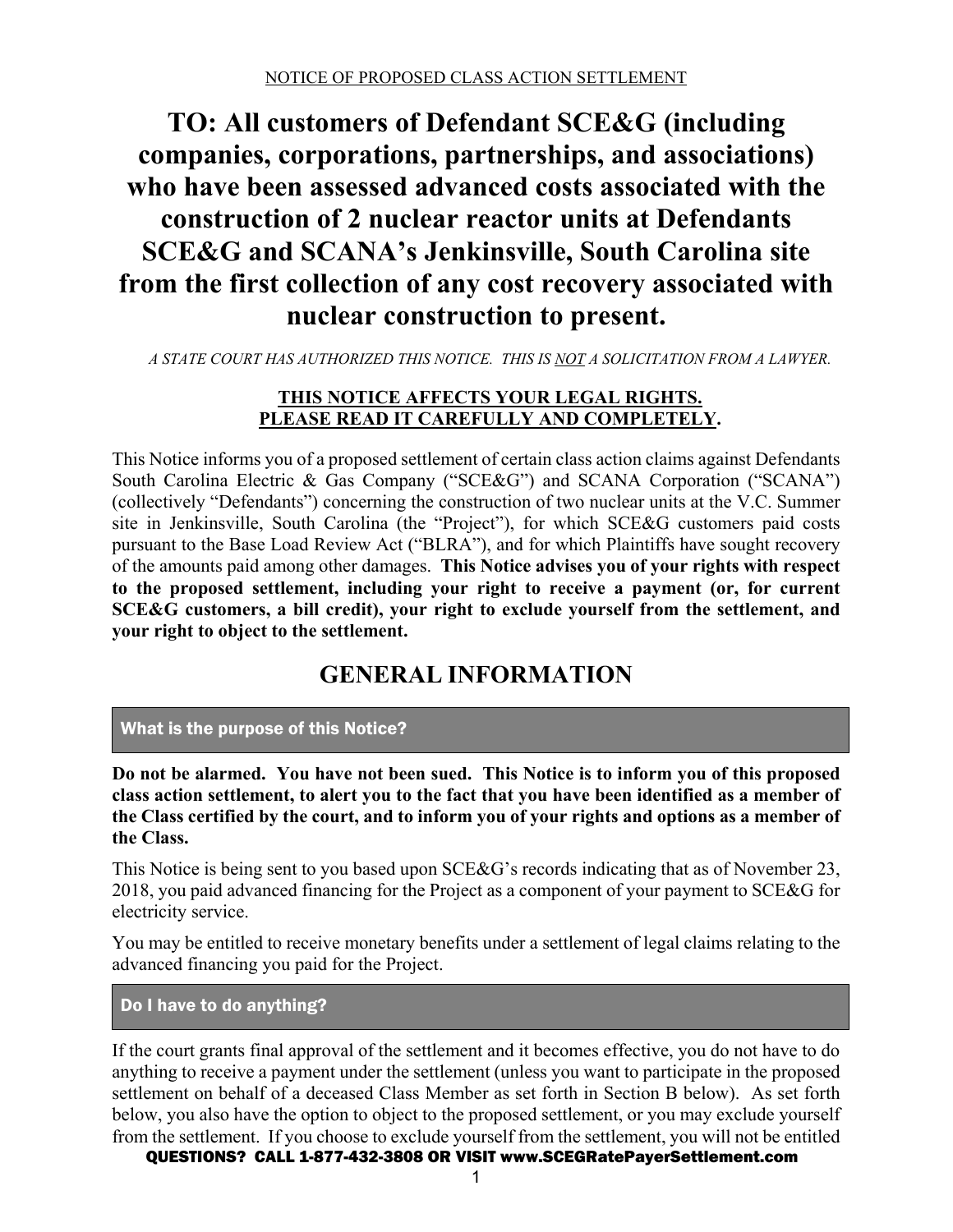# **TO: All customers of Defendant SCE&G (including companies, corporations, partnerships, and associations) who have been assessed advanced costs associated with the construction of 2 nuclear reactor units at Defendants SCE&G and SCANA's Jenkinsville, South Carolina site from the first collection of any cost recovery associated with nuclear construction to present.**

*A STATE COURT HAS AUTHORIZED THIS NOTICE. THIS IS NOT A SOLICITATION FROM A LAWYER.* 

## **THIS NOTICE AFFECTS YOUR LEGAL RIGHTS. PLEASE READ IT CAREFULLY AND COMPLETELY.**

This Notice informs you of a proposed settlement of certain class action claims against Defendants South Carolina Electric & Gas Company ("SCE&G") and SCANA Corporation ("SCANA") (collectively "Defendants") concerning the construction of two nuclear units at the V.C. Summer site in Jenkinsville, South Carolina (the "Project"), for which SCE&G customers paid costs pursuant to the Base Load Review Act ("BLRA"), and for which Plaintiffs have sought recovery of the amounts paid among other damages. **This Notice advises you of your rights with respect to the proposed settlement, including your right to receive a payment (or, for current SCE&G customers, a bill credit), your right to exclude yourself from the settlement, and your right to object to the settlement.**

# **GENERAL INFORMATION**

# What is the purpose of this Notice?

**Do not be alarmed. You have not been sued. This Notice is to inform you of this proposed class action settlement, to alert you to the fact that you have been identified as a member of the Class certified by the court, and to inform you of your rights and options as a member of the Class.** 

This Notice is being sent to you based upon SCE&G's records indicating that as of November 23, 2018, you paid advanced financing for the Project as a component of your payment to SCE&G for electricity service.

You may be entitled to receive monetary benefits under a settlement of legal claims relating to the advanced financing you paid for the Project.

Do I have to do anything?

If the court grants final approval of the settlement and it becomes effective, you do not have to do anything to receive a payment under the settlement (unless you want to participate in the proposed settlement on behalf of a deceased Class Member as set forth in Section B below). As set forth below, you also have the option to object to the proposed settlement, or you may exclude yourself from the settlement. If you choose to exclude yourself from the settlement, you will not be entitled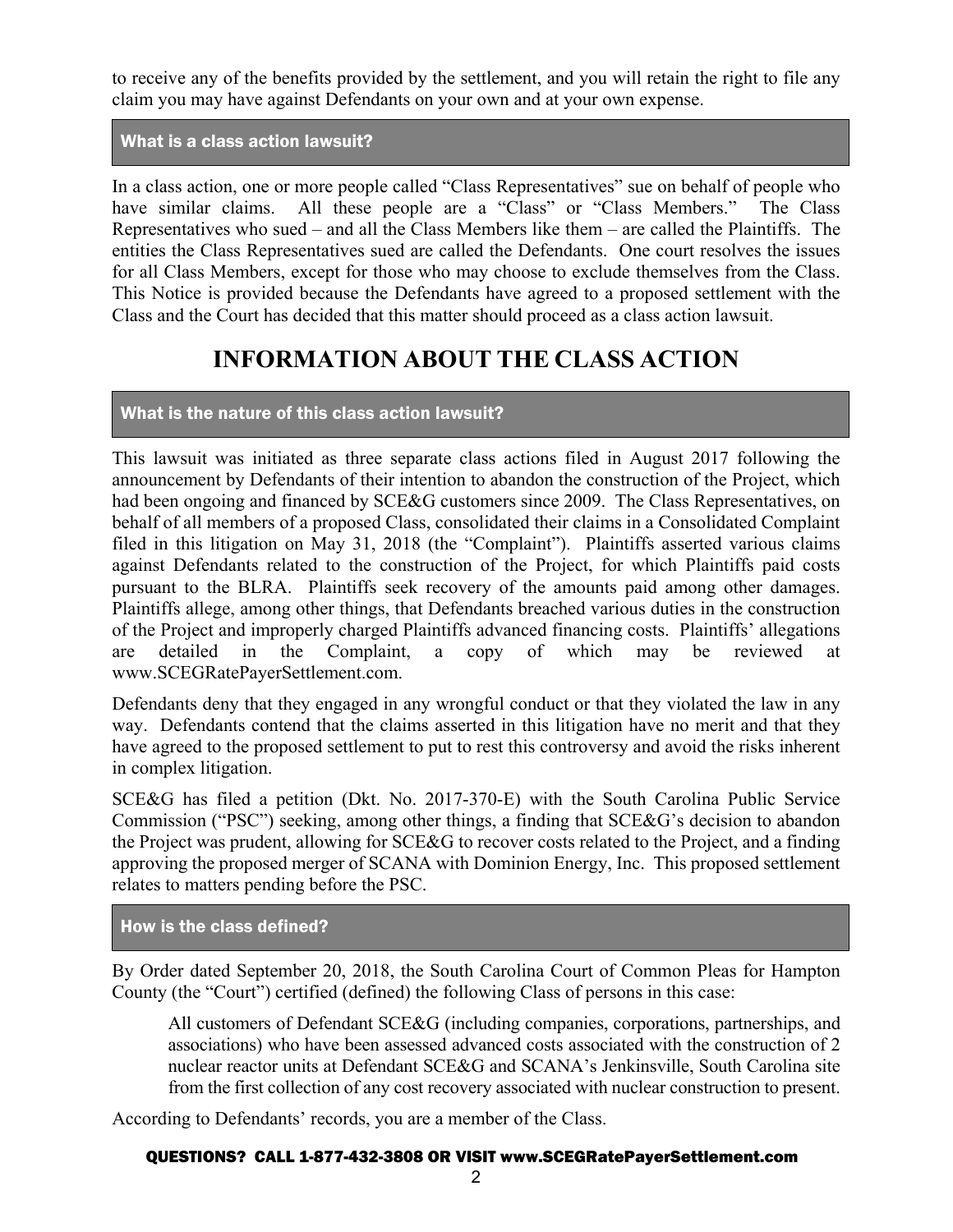to receive any of the benefits provided by the settlement, and you will retain the right to file any claim you may have against Defendants on your own and at your own expense.

### What is a class action lawsuit?

In a class action, one or more people called "Class Representatives" sue on behalf of people who have similar claims. All these people are a "Class" or "Class Members." The Class Representatives who sued – and all the Class Members like them – are called the Plaintiffs. The entities the Class Representatives sued are called the Defendants. One court resolves the issues for all Class Members, except for those who may choose to exclude themselves from the Class. This Notice is provided because the Defendants have agreed to a proposed settlement with the Class and the Court has decided that this matter should proceed as a class action lawsuit.

# **INFORMATION ABOUT THE CLASS ACTION**

## What is the nature of this class action lawsuit?

This lawsuit was initiated as three separate class actions filed in August 2017 following the announcement by Defendants of their intention to abandon the construction of the Project, which had been ongoing and financed by SCE&G customers since 2009. The Class Representatives, on behalf of all members of a proposed Class, consolidated their claims in a Consolidated Complaint filed in this litigation on May 31, 2018 (the "Complaint"). Plaintiffs asserted various claims against Defendants related to the construction of the Project, for which Plaintiffs paid costs pursuant to the BLRA. Plaintiffs seek recovery of the amounts paid among other damages. Plaintiffs allege, among other things, that Defendants breached various duties in the construction of the Project and improperly charged Plaintiffs advanced financing costs. Plaintiffs' allegations are detailed in the Complaint, a copy of which may be reviewed at www.SCEGRatePayerSettlement.com.

Defendants deny that they engaged in any wrongful conduct or that they violated the law in any way. Defendants contend that the claims asserted in this litigation have no merit and that they have agreed to the proposed settlement to put to rest this controversy and avoid the risks inherent in complex litigation.

SCE&G has filed a petition (Dkt. No. 2017-370-E) with the South Carolina Public Service Commission ("PSC") seeking, among other things, a finding that SCE&G's decision to abandon the Project was prudent, allowing for SCE&G to recover costs related to the Project, and a finding approving the proposed merger of SCANA with Dominion Energy, Inc. This proposed settlement relates to matters pending before the PSC.

### How is the class defined?

By Order dated September 20, 2018, the South Carolina Court of Common Pleas for Hampton County (the "Court") certified (defined) the following Class of persons in this case:

All customers of Defendant SCE&G (including companies, corporations, partnerships, and associations) who have been assessed advanced costs associated with the construction of 2 nuclear reactor units at Defendant SCE&G and SCANA's Jenkinsville, South Carolina site from the first collection of any cost recovery associated with nuclear construction to present.

According to Defendants' records, you are a member of the Class.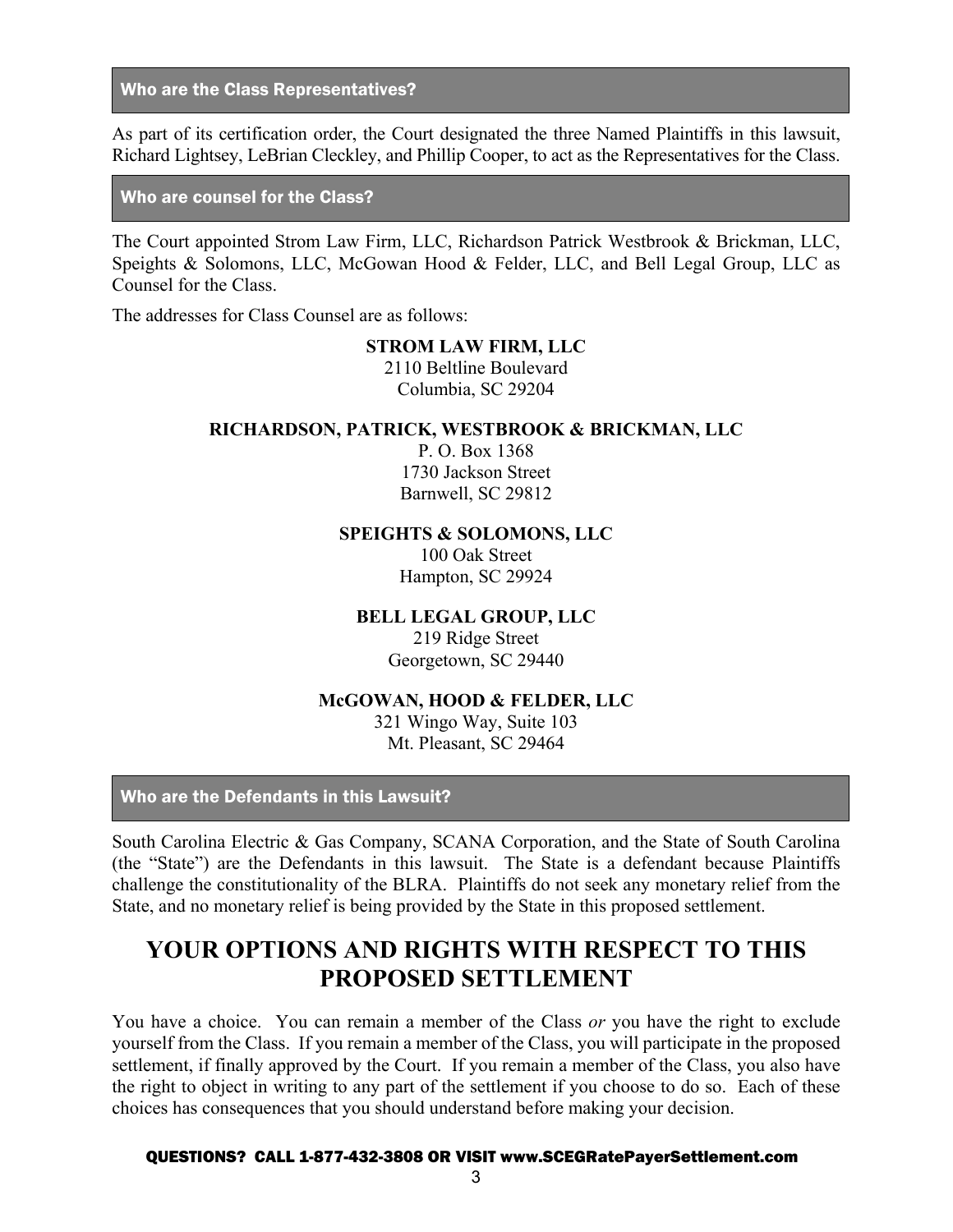Who are the Class Representatives?

As part of its certification order, the Court designated the three Named Plaintiffs in this lawsuit, Richard Lightsey, LeBrian Cleckley, and Phillip Cooper, to act as the Representatives for the Class.

Who are counsel for the Class?

The Court appointed Strom Law Firm, LLC, Richardson Patrick Westbrook & Brickman, LLC, Speights & Solomons, LLC, McGowan Hood & Felder, LLC, and Bell Legal Group, LLC as Counsel for the Class.

The addresses for Class Counsel are as follows:

#### **STROM LAW FIRM, LLC**

2110 Beltline Boulevard Columbia, SC 29204

#### **RICHARDSON, PATRICK, WESTBROOK & BRICKMAN, LLC**

P. O. Box 1368 1730 Jackson Street Barnwell, SC 29812

**SPEIGHTS & SOLOMONS, LLC**

100 Oak Street Hampton, SC 29924

#### **BELL LEGAL GROUP, LLC**

219 Ridge Street Georgetown, SC 29440

#### **McGOWAN, HOOD & FELDER, LLC**

321 Wingo Way, Suite 103 Mt. Pleasant, SC 29464

Who are the Defendants in this Lawsuit?

South Carolina Electric & Gas Company, SCANA Corporation, and the State of South Carolina (the "State") are the Defendants in this lawsuit. The State is a defendant because Plaintiffs challenge the constitutionality of the BLRA. Plaintiffs do not seek any monetary relief from the State, and no monetary relief is being provided by the State in this proposed settlement.

# **YOUR OPTIONS AND RIGHTS WITH RESPECT TO THIS PROPOSED SETTLEMENT**

You have a choice. You can remain a member of the Class *or* you have the right to exclude yourself from the Class. If you remain a member of the Class, you will participate in the proposed settlement, if finally approved by the Court. If you remain a member of the Class, you also have the right to object in writing to any part of the settlement if you choose to do so. Each of these choices has consequences that you should understand before making your decision.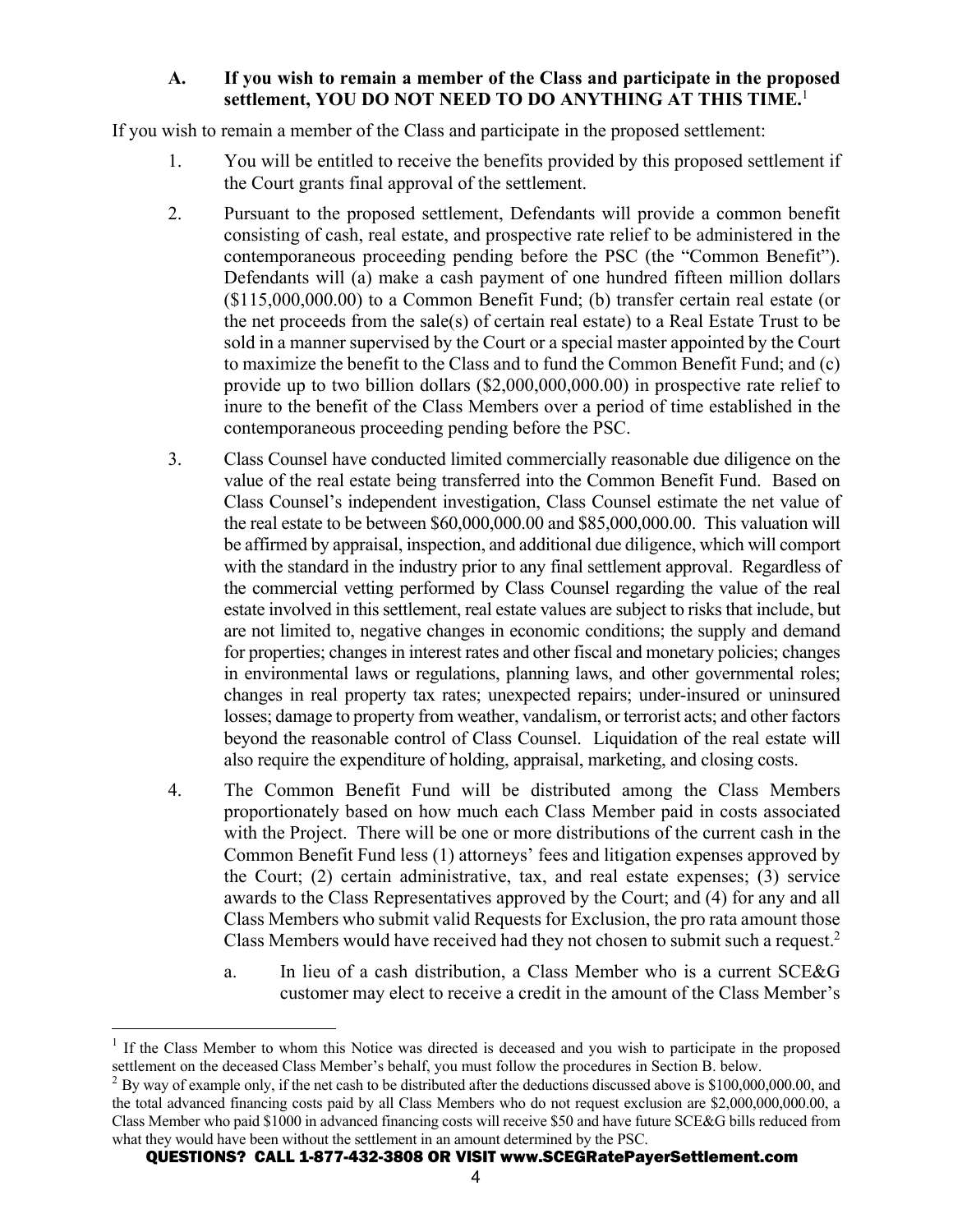## **A. If you wish to remain a member of the Class and participate in the proposed settlement, YOU DO NOT NEED TO DO ANYTHING AT THIS TIME.**<sup>1</sup>

If you wish to remain a member of the Class and participate in the proposed settlement:

- 1. You will be entitled to receive the benefits provided by this proposed settlement if the Court grants final approval of the settlement.
- 2. Pursuant to the proposed settlement, Defendants will provide a common benefit consisting of cash, real estate, and prospective rate relief to be administered in the contemporaneous proceeding pending before the PSC (the "Common Benefit"). Defendants will (a) make a cash payment of one hundred fifteen million dollars (\$115,000,000.00) to a Common Benefit Fund; (b) transfer certain real estate (or the net proceeds from the sale(s) of certain real estate) to a Real Estate Trust to be sold in a manner supervised by the Court or a special master appointed by the Court to maximize the benefit to the Class and to fund the Common Benefit Fund; and (c) provide up to two billion dollars (\$2,000,000,000.00) in prospective rate relief to inure to the benefit of the Class Members over a period of time established in the contemporaneous proceeding pending before the PSC.
- 3. Class Counsel have conducted limited commercially reasonable due diligence on the value of the real estate being transferred into the Common Benefit Fund. Based on Class Counsel's independent investigation, Class Counsel estimate the net value of the real estate to be between \$60,000,000.00 and \$85,000,000.00. This valuation will be affirmed by appraisal, inspection, and additional due diligence, which will comport with the standard in the industry prior to any final settlement approval. Regardless of the commercial vetting performed by Class Counsel regarding the value of the real estate involved in this settlement, real estate values are subject to risks that include, but are not limited to, negative changes in economic conditions; the supply and demand for properties; changes in interest rates and other fiscal and monetary policies; changes in environmental laws or regulations, planning laws, and other governmental roles; changes in real property tax rates; unexpected repairs; under-insured or uninsured losses; damage to property from weather, vandalism, or terrorist acts; and other factors beyond the reasonable control of Class Counsel. Liquidation of the real estate will also require the expenditure of holding, appraisal, marketing, and closing costs.
- 4. The Common Benefit Fund will be distributed among the Class Members proportionately based on how much each Class Member paid in costs associated with the Project. There will be one or more distributions of the current cash in the Common Benefit Fund less (1) attorneys' fees and litigation expenses approved by the Court; (2) certain administrative, tax, and real estate expenses; (3) service awards to the Class Representatives approved by the Court; and (4) for any and all Class Members who submit valid Requests for Exclusion, the pro rata amount those Class Members would have received had they not chosen to submit such a request.<sup>2</sup>
	- a. In lieu of a cash distribution, a Class Member who is a current SCE&G customer may elect to receive a credit in the amount of the Class Member's

<sup>&</sup>lt;sup>1</sup> If the Class Member to whom this Notice was directed is deceased and you wish to participate in the proposed settlement on the deceased Class Member's behalf, you must follow the procedures in Section B. below.

 $^{2}$  By way of example only, if the net cash to be distributed after the deductions discussed above is \$100,000,000.00, and the total advanced financing costs paid by all Class Members who do not request exclusion are \$2,000,000,000.00, a Class Member who paid \$1000 in advanced financing costs will receive \$50 and have future SCE&G bills reduced from what they would have been without the settlement in an amount determined by the PSC.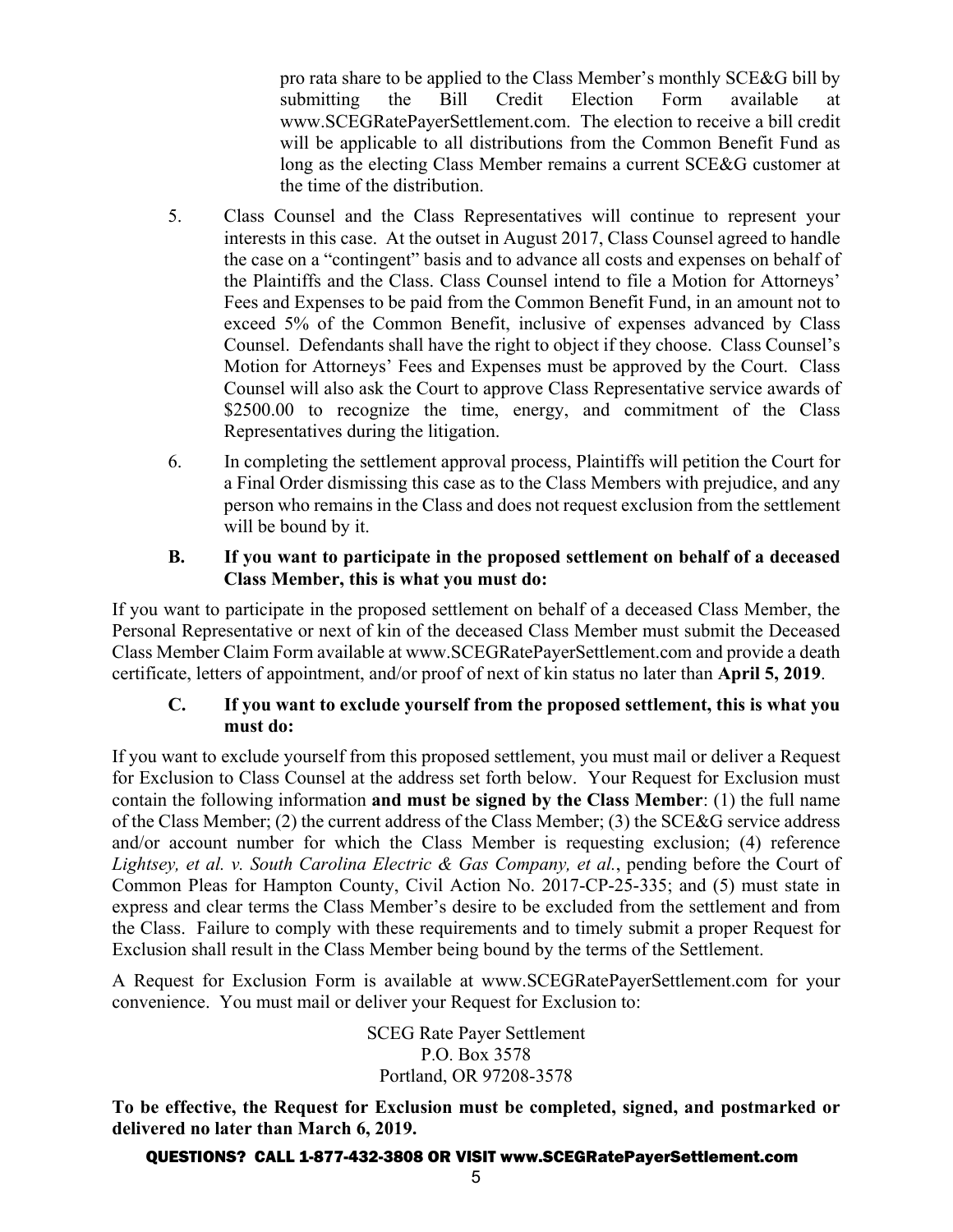pro rata share to be applied to the Class Member's monthly SCE&G bill by submitting the Bill Credit Election Form available at www.SCEGRatePayerSettlement.com. The election to receive a bill credit will be applicable to all distributions from the Common Benefit Fund as long as the electing Class Member remains a current SCE&G customer at the time of the distribution.

- 5. Class Counsel and the Class Representatives will continue to represent your interests in this case. At the outset in August 2017, Class Counsel agreed to handle the case on a "contingent" basis and to advance all costs and expenses on behalf of the Plaintiffs and the Class. Class Counsel intend to file a Motion for Attorneys' Fees and Expenses to be paid from the Common Benefit Fund, in an amount not to exceed 5% of the Common Benefit, inclusive of expenses advanced by Class Counsel. Defendants shall have the right to object if they choose. Class Counsel's Motion for Attorneys' Fees and Expenses must be approved by the Court. Class Counsel will also ask the Court to approve Class Representative service awards of \$2500.00 to recognize the time, energy, and commitment of the Class Representatives during the litigation.
- 6. In completing the settlement approval process, Plaintiffs will petition the Court for a Final Order dismissing this case as to the Class Members with prejudice, and any person who remains in the Class and does not request exclusion from the settlement will be bound by it.

### **B. If you want to participate in the proposed settlement on behalf of a deceased Class Member, this is what you must do:**

If you want to participate in the proposed settlement on behalf of a deceased Class Member, the Personal Representative or next of kin of the deceased Class Member must submit the Deceased Class Member Claim Form available at www.SCEGRatePayerSettlement.com and provide a death certificate, letters of appointment, and/or proof of next of kin status no later than **April 5, 2019**.

## **C. If you want to exclude yourself from the proposed settlement, this is what you must do:**

If you want to exclude yourself from this proposed settlement, you must mail or deliver a Request for Exclusion to Class Counsel at the address set forth below. Your Request for Exclusion must contain the following information **and must be signed by the Class Member**: (1) the full name of the Class Member; (2) the current address of the Class Member; (3) the SCE&G service address and/or account number for which the Class Member is requesting exclusion; (4) reference *Lightsey, et al. v. South Carolina Electric & Gas Company, et al.*, pending before the Court of Common Pleas for Hampton County, Civil Action No. 2017-CP-25-335; and (5) must state in express and clear terms the Class Member's desire to be excluded from the settlement and from the Class. Failure to comply with these requirements and to timely submit a proper Request for Exclusion shall result in the Class Member being bound by the terms of the Settlement.

A Request for Exclusion Form is available at www.SCEGRatePayerSettlement.com for your convenience. You must mail or deliver your Request for Exclusion to:

> SCEG Rate Payer Settlement P.O. Box 3578 Portland, OR 97208-3578

**To be effective, the Request for Exclusion must be completed, signed, and postmarked or delivered no later than March 6, 2019.**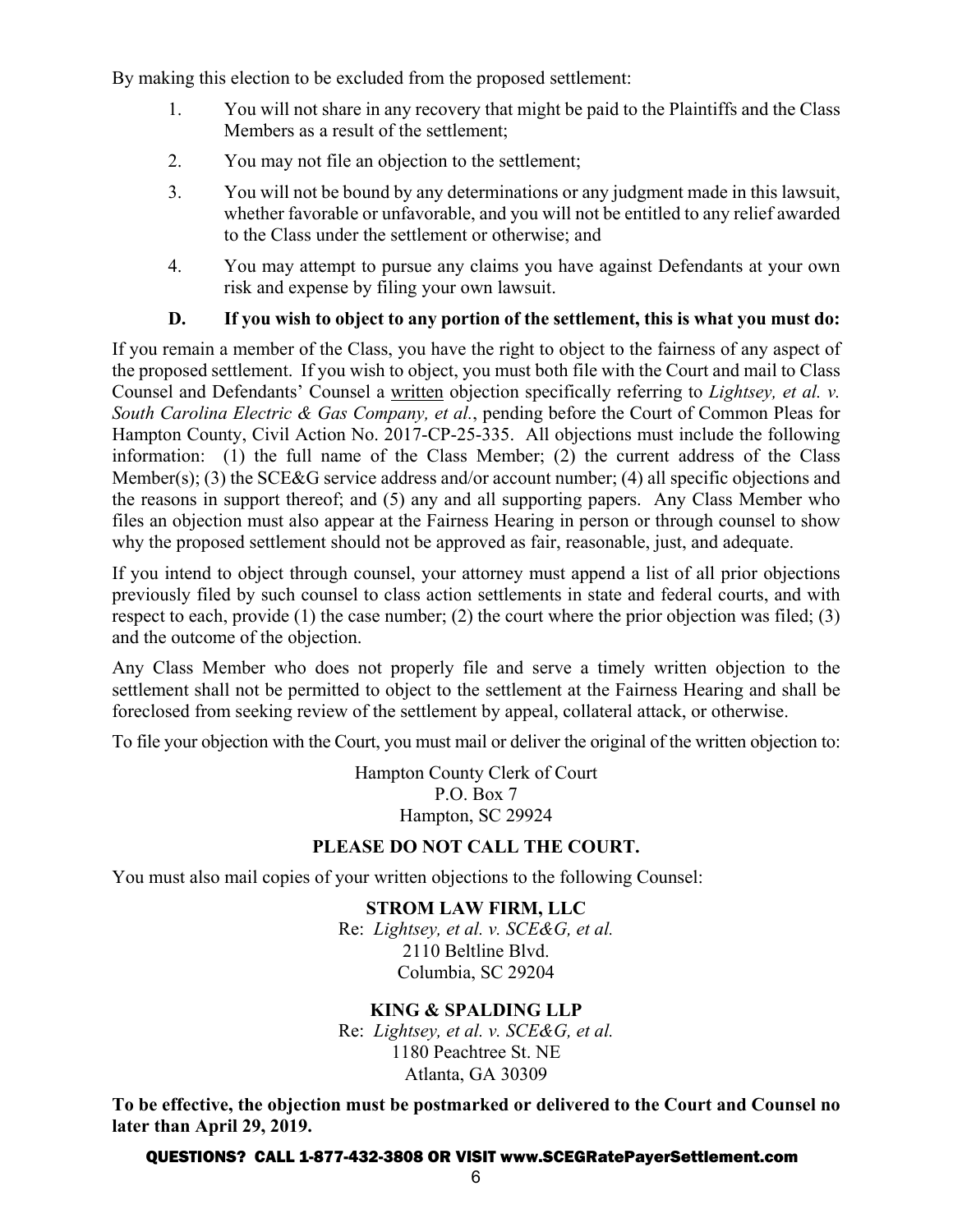By making this election to be excluded from the proposed settlement:

- 1. You will not share in any recovery that might be paid to the Plaintiffs and the Class Members as a result of the settlement;
- 2. You may not file an objection to the settlement;
- 3. You will not be bound by any determinations or any judgment made in this lawsuit, whether favorable or unfavorable, and you will not be entitled to any relief awarded to the Class under the settlement or otherwise; and
- 4. You may attempt to pursue any claims you have against Defendants at your own risk and expense by filing your own lawsuit.

## **D. If you wish to object to any portion of the settlement, this is what you must do:**

If you remain a member of the Class, you have the right to object to the fairness of any aspect of the proposed settlement. If you wish to object, you must both file with the Court and mail to Class Counsel and Defendants' Counsel a written objection specifically referring to *Lightsey, et al. v. South Carolina Electric & Gas Company, et al.*, pending before the Court of Common Pleas for Hampton County, Civil Action No. 2017-CP-25-335. All objections must include the following information: (1) the full name of the Class Member; (2) the current address of the Class Member(s); (3) the SCE&G service address and/or account number; (4) all specific objections and the reasons in support thereof; and (5) any and all supporting papers. Any Class Member who files an objection must also appear at the Fairness Hearing in person or through counsel to show why the proposed settlement should not be approved as fair, reasonable, just, and adequate.

If you intend to object through counsel, your attorney must append a list of all prior objections previously filed by such counsel to class action settlements in state and federal courts, and with respect to each, provide (1) the case number; (2) the court where the prior objection was filed; (3) and the outcome of the objection.

Any Class Member who does not properly file and serve a timely written objection to the settlement shall not be permitted to object to the settlement at the Fairness Hearing and shall be foreclosed from seeking review of the settlement by appeal, collateral attack, or otherwise.

To file your objection with the Court, you must mail or deliver the original of the written objection to:

Hampton County Clerk of Court P.O. Box 7 Hampton, SC 29924

# **PLEASE DO NOT CALL THE COURT.**

You must also mail copies of your written objections to the following Counsel:

**STROM LAW FIRM, LLC** Re: *Lightsey, et al. v. SCE&G, et al.* 2110 Beltline Blvd. Columbia, SC 29204

## **KING & SPALDING LLP**

Re: *Lightsey, et al. v. SCE&G, et al.* 1180 Peachtree St. NE Atlanta, GA 30309

**To be effective, the objection must be postmarked or delivered to the Court and Counsel no later than April 29, 2019.**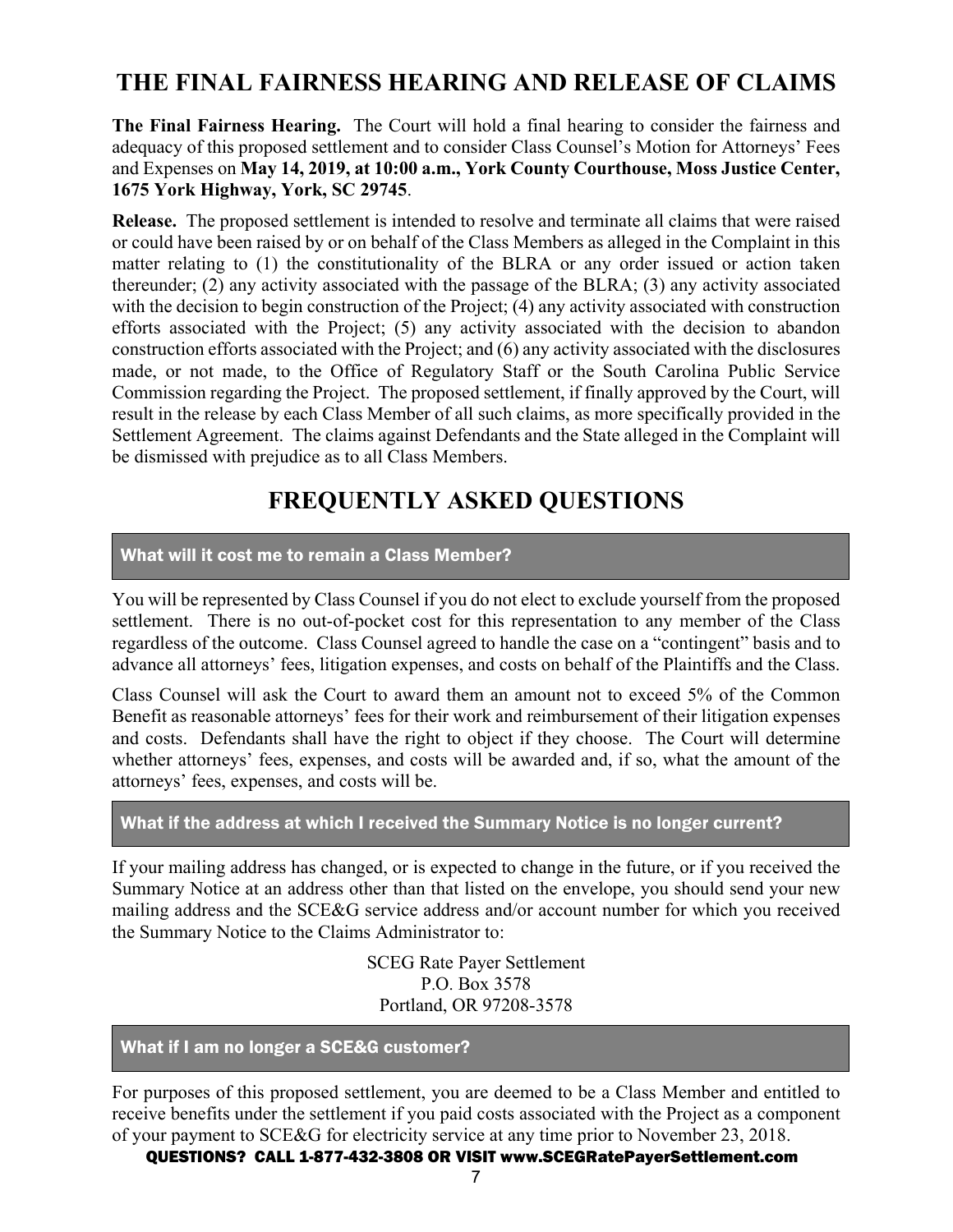# **THE FINAL FAIRNESS HEARING AND RELEASE OF CLAIMS**

**The Final Fairness Hearing.** The Court will hold a final hearing to consider the fairness and adequacy of this proposed settlement and to consider Class Counsel's Motion for Attorneys' Fees and Expenses on **May 14, 2019, at 10:00 a.m., York County Courthouse, Moss Justice Center, 1675 York Highway, York, SC 29745**.

**Release.** The proposed settlement is intended to resolve and terminate all claims that were raised or could have been raised by or on behalf of the Class Members as alleged in the Complaint in this matter relating to (1) the constitutionality of the BLRA or any order issued or action taken thereunder; (2) any activity associated with the passage of the BLRA; (3) any activity associated with the decision to begin construction of the Project; (4) any activity associated with construction efforts associated with the Project; (5) any activity associated with the decision to abandon construction efforts associated with the Project; and (6) any activity associated with the disclosures made, or not made, to the Office of Regulatory Staff or the South Carolina Public Service Commission regarding the Project. The proposed settlement, if finally approved by the Court, will result in the release by each Class Member of all such claims, as more specifically provided in the Settlement Agreement. The claims against Defendants and the State alleged in the Complaint will be dismissed with prejudice as to all Class Members.

# **FREQUENTLY ASKED QUESTIONS**

## What will it cost me to remain a Class Member?

You will be represented by Class Counsel if you do not elect to exclude yourself from the proposed settlement. There is no out-of-pocket cost for this representation to any member of the Class regardless of the outcome. Class Counsel agreed to handle the case on a "contingent" basis and to advance all attorneys' fees, litigation expenses, and costs on behalf of the Plaintiffs and the Class.

Class Counsel will ask the Court to award them an amount not to exceed 5% of the Common Benefit as reasonable attorneys' fees for their work and reimbursement of their litigation expenses and costs. Defendants shall have the right to object if they choose. The Court will determine whether attorneys' fees, expenses, and costs will be awarded and, if so, what the amount of the attorneys' fees, expenses, and costs will be.

#### What if the address at which I received the Summary Notice is no longer current?

If your mailing address has changed, or is expected to change in the future, or if you received the Summary Notice at an address other than that listed on the envelope, you should send your new mailing address and the SCE&G service address and/or account number for which you received the Summary Notice to the Claims Administrator to:

> SCEG Rate Payer Settlement P.O. Box 3578 Portland, OR 97208-3578

## What if I am no longer a SCE&G customer?

For purposes of this proposed settlement, you are deemed to be a Class Member and entitled to receive benefits under the settlement if you paid costs associated with the Project as a component of your payment to SCE&G for electricity service at any time prior to November 23, 2018.